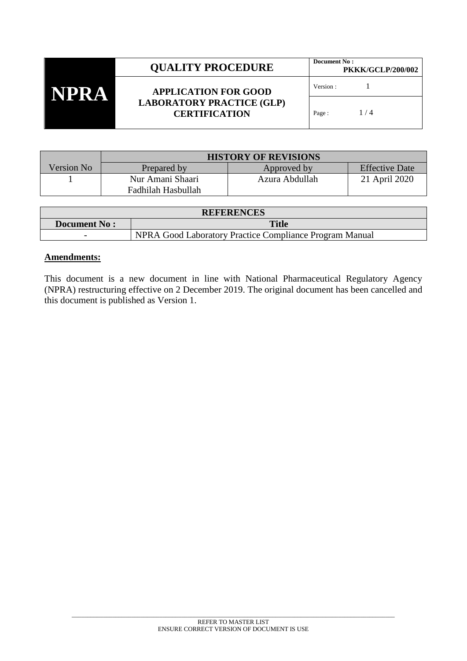| NPRA | <b>QUALITY PROCEDURE</b>                                                                | Document No:<br><b>PKKK/GCLP/200/002</b> |       |
|------|-----------------------------------------------------------------------------------------|------------------------------------------|-------|
|      | <b>APPLICATION FOR GOOD</b><br><b>LABORATORY PRACTICE (GLP)</b><br><b>CERTIFICATION</b> | Version:                                 |       |
|      |                                                                                         | Page:                                    | 1 / 4 |

|            | <b>HISTORY OF REVISIONS</b> |                |                       |
|------------|-----------------------------|----------------|-----------------------|
| Version No | Prepared by                 | Approved by    | <b>Effective Date</b> |
|            | Nur Amani Shaari            | Azura Abdullah | 21 April 2020         |
|            | Fadhilah Hasbullah          |                |                       |

| <b>REFERENCES</b>        |                                                         |  |  |
|--------------------------|---------------------------------------------------------|--|--|
| <b>Document No:</b>      | <b>Title</b>                                            |  |  |
| $\overline{\phantom{0}}$ | NPRA Good Laboratory Practice Compliance Program Manual |  |  |

## **Amendments:**

This document is a new document in line with National Pharmaceutical Regulatory Agency (NPRA) restructuring effective on 2 December 2019. The original document has been cancelled and this document is published as Version 1.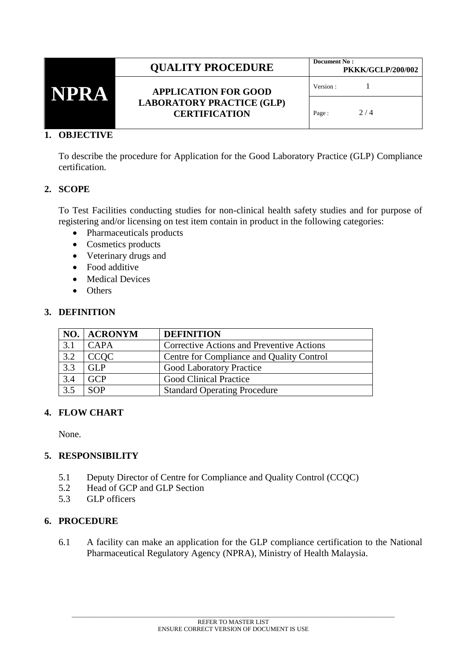|     | <b>OUALITY PROCEDURE</b>                                                                | Document No: | <b>PKKK/GCLP/200/002</b> |
|-----|-----------------------------------------------------------------------------------------|--------------|--------------------------|
| NPR | <b>APPLICATION FOR GOOD</b><br><b>LABORATORY PRACTICE (GLP)</b><br><b>CERTIFICATION</b> | Version :    |                          |
|     |                                                                                         | Page:        | 2/4                      |

## **1. OBJECTIVE**

To describe the procedure for Application for the Good Laboratory Practice (GLP) Compliance certification.

## **2. SCOPE**

To Test Facilities conducting studies for non-clinical health safety studies and for purpose of registering and/or licensing on test item contain in product in the following categories:

- Pharmaceuticals products
- Cosmetics products
- Veterinary drugs and
- Food additive
- Medical Devices
- Others

## **3. DEFINITION**

|     | NO.   ACRONYM | <b>DEFINITION</b>                                |
|-----|---------------|--------------------------------------------------|
| 3.1 | CAPA          | <b>Corrective Actions and Preventive Actions</b> |
| 3.2 | <b>CCOC</b>   | Centre for Compliance and Quality Control        |
| 3.3 | GLP           | <b>Good Laboratory Practice</b>                  |
| 3.4 | <b>GCP</b>    | <b>Good Clinical Practice</b>                    |
| 3.5 | SOP           | <b>Standard Operating Procedure</b>              |

#### **4. FLOW CHART**

None.

#### **5. RESPONSIBILITY**

- 5.1 Deputy Director of Centre for Compliance and Quality Control (CCQC)
- 5.2 Head of GCP and GLP Section
- 5.3 GLP officers

## **6. PROCEDURE**

6.1 A facility can make an application for the GLP compliance certification to the National Pharmaceutical Regulatory Agency (NPRA), Ministry of Health Malaysia.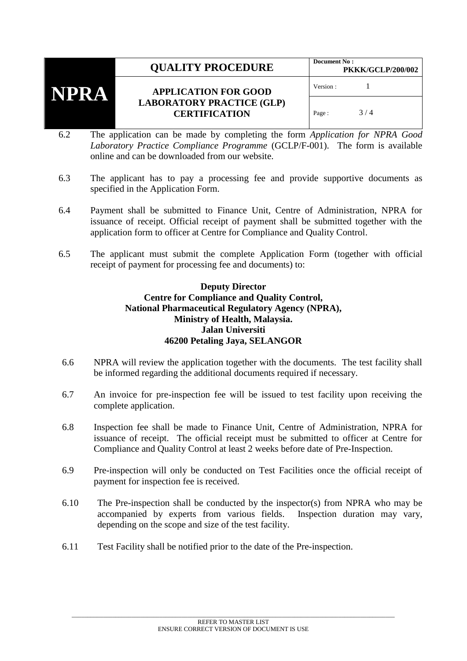# **QUALITY PROCEDURE** Document No :



## **APPLICATION FOR GOOD LABORATORY PRACTICE (GLP) CERTIFICATION**

- 6.2 The application can be made by completing the form *Application for NPRA Good Laboratory Practice Compliance Programme* (GCLP/F-001). The form is available online and can be downloaded from our website.
- 6.3 The applicant has to pay a processing fee and provide supportive documents as specified in the Application Form.
- 6.4 Payment shall be submitted to Finance Unit, Centre of Administration, NPRA for issuance of receipt. Official receipt of payment shall be submitted together with the application form to officer at Centre for Compliance and Quality Control.
- 6.5 The applicant must submit the complete Application Form (together with official receipt of payment for processing fee and documents) to:

## **Deputy Director Centre for Compliance and Quality Control, National Pharmaceutical Regulatory Agency (NPRA), Ministry of Health, Malaysia. Jalan Universiti 46200 Petaling Jaya, SELANGOR**

- 6.6 NPRA will review the application together with the documents. The test facility shall be informed regarding the additional documents required if necessary.
- 6.7 An invoice for pre-inspection fee will be issued to test facility upon receiving the complete application.
- 6.8 Inspection fee shall be made to Finance Unit, Centre of Administration, NPRA for issuance of receipt. The official receipt must be submitted to officer at Centre for Compliance and Quality Control at least 2 weeks before date of Pre-Inspection.
- 6.9 Pre-inspection will only be conducted on Test Facilities once the official receipt of payment for inspection fee is received.
- 6.10 The Pre-inspection shall be conducted by the inspector(s) from NPRA who may be accompanied by experts from various fields. Inspection duration may vary, depending on the scope and size of the test facility.
- 6.11 Test Facility shall be notified prior to the date of the Pre-inspection.